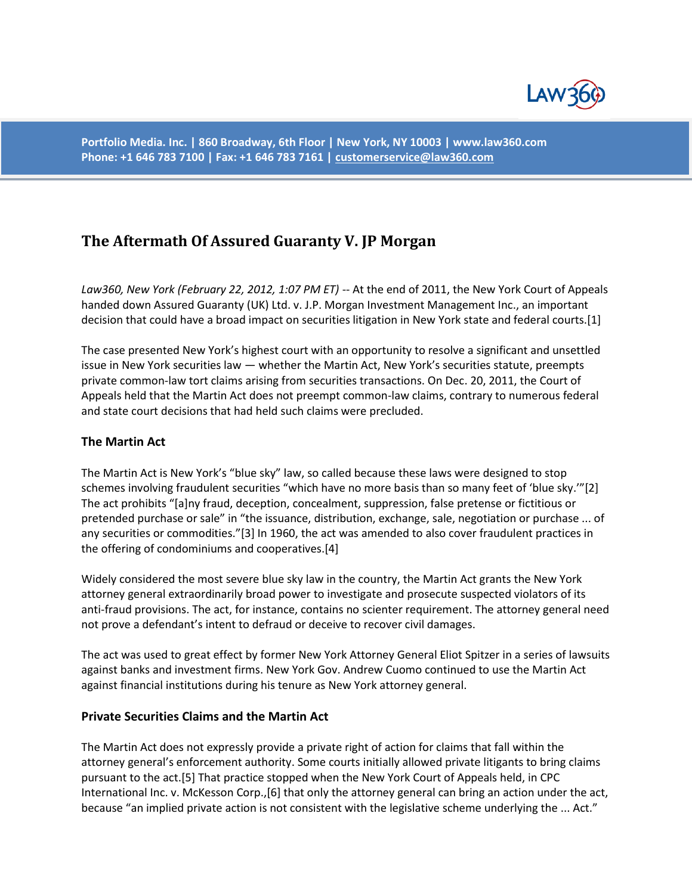

**Portfolio Media. Inc. | 860 Broadway, 6th Floor | New York, NY 10003 | www.law360.com Phone: +1 646 783 7100 | Fax: +1 646 783 7161 [| customerservice@law360.com](mailto:customerservice@law360.com)**

# **The Aftermath Of Assured Guaranty V. JP Morgan**

*Law360, New York (February 22, 2012, 1:07 PM ET)* -- At the end of 2011, the New York Court of Appeals handed down Assured Guaranty (UK) Ltd. v. J.P. Morgan Investment Management Inc., an important decision that could have a broad impact on securities litigation in New York state and federal courts.[1]

The case presented New York's highest court with an opportunity to resolve a significant and unsettled issue in New York securities law — whether the Martin Act, New York's securities statute, preempts private common-law tort claims arising from securities transactions. On Dec. 20, 2011, the Court of Appeals held that the Martin Act does not preempt common-law claims, contrary to numerous federal and state court decisions that had held such claims were precluded.

#### **The Martin Act**

The Martin Act is New York's "blue sky" law, so called because these laws were designed to stop schemes involving fraudulent securities "which have no more basis than so many feet of 'blue sky.'"[2] The act prohibits "[a]ny fraud, deception, concealment, suppression, false pretense or fictitious or pretended purchase or sale" in "the issuance, distribution, exchange, sale, negotiation or purchase ... of any securities or commodities."[3] In 1960, the act was amended to also cover fraudulent practices in the offering of condominiums and cooperatives.[4]

Widely considered the most severe blue sky law in the country, the Martin Act grants the New York attorney general extraordinarily broad power to investigate and prosecute suspected violators of its anti-fraud provisions. The act, for instance, contains no scienter requirement. The attorney general need not prove a defendant's intent to defraud or deceive to recover civil damages.

The act was used to great effect by former New York Attorney General Eliot Spitzer in a series of lawsuits against banks and investment firms. New York Gov. Andrew Cuomo continued to use the Martin Act against financial institutions during his tenure as New York attorney general.

#### **Private Securities Claims and the Martin Act**

The Martin Act does not expressly provide a private right of action for claims that fall within the attorney general's enforcement authority. Some courts initially allowed private litigants to bring claims pursuant to the act.[5] That practice stopped when the New York Court of Appeals held, in CPC International Inc. v. McKesson Corp.,[6] that only the attorney general can bring an action under the act, because "an implied private action is not consistent with the legislative scheme underlying the ... Act."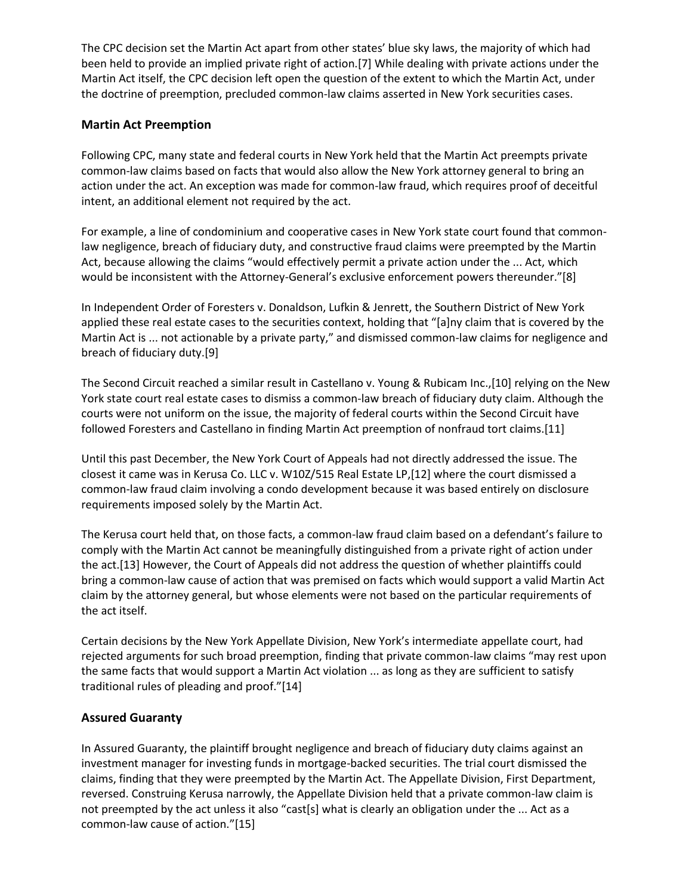The CPC decision set the Martin Act apart from other states' blue sky laws, the majority of which had been held to provide an implied private right of action.[7] While dealing with private actions under the Martin Act itself, the CPC decision left open the question of the extent to which the Martin Act, under the doctrine of preemption, precluded common-law claims asserted in New York securities cases.

## **Martin Act Preemption**

Following CPC, many state and federal courts in New York held that the Martin Act preempts private common-law claims based on facts that would also allow the New York attorney general to bring an action under the act. An exception was made for common-law fraud, which requires proof of deceitful intent, an additional element not required by the act.

For example, a line of condominium and cooperative cases in New York state court found that commonlaw negligence, breach of fiduciary duty, and constructive fraud claims were preempted by the Martin Act, because allowing the claims "would effectively permit a private action under the ... Act, which would be inconsistent with the Attorney-General's exclusive enforcement powers thereunder."[8]

In Independent Order of Foresters v. Donaldson, Lufkin & Jenrett, the Southern District of New York applied these real estate cases to the securities context, holding that "[a]ny claim that is covered by the Martin Act is ... not actionable by a private party," and dismissed common-law claims for negligence and breach of fiduciary duty.[9]

The Second Circuit reached a similar result in Castellano v. Young & Rubicam Inc.,[10] relying on the New York state court real estate cases to dismiss a common-law breach of fiduciary duty claim. Although the courts were not uniform on the issue, the majority of federal courts within the Second Circuit have followed Foresters and Castellano in finding Martin Act preemption of nonfraud tort claims.[11]

Until this past December, the New York Court of Appeals had not directly addressed the issue. The closest it came was in Kerusa Co. LLC v. W10Z/515 Real Estate LP,[12] where the court dismissed a common-law fraud claim involving a condo development because it was based entirely on disclosure requirements imposed solely by the Martin Act.

The Kerusa court held that, on those facts, a common-law fraud claim based on a defendant's failure to comply with the Martin Act cannot be meaningfully distinguished from a private right of action under the act.[13] However, the Court of Appeals did not address the question of whether plaintiffs could bring a common-law cause of action that was premised on facts which would support a valid Martin Act claim by the attorney general, but whose elements were not based on the particular requirements of the act itself.

Certain decisions by the New York Appellate Division, New York's intermediate appellate court, had rejected arguments for such broad preemption, finding that private common-law claims "may rest upon the same facts that would support a Martin Act violation ... as long as they are sufficient to satisfy traditional rules of pleading and proof."[14]

#### **Assured Guaranty**

In Assured Guaranty, the plaintiff brought negligence and breach of fiduciary duty claims against an investment manager for investing funds in mortgage-backed securities. The trial court dismissed the claims, finding that they were preempted by the Martin Act. The Appellate Division, First Department, reversed. Construing Kerusa narrowly, the Appellate Division held that a private common-law claim is not preempted by the act unless it also "cast[s] what is clearly an obligation under the ... Act as a common-law cause of action."[15]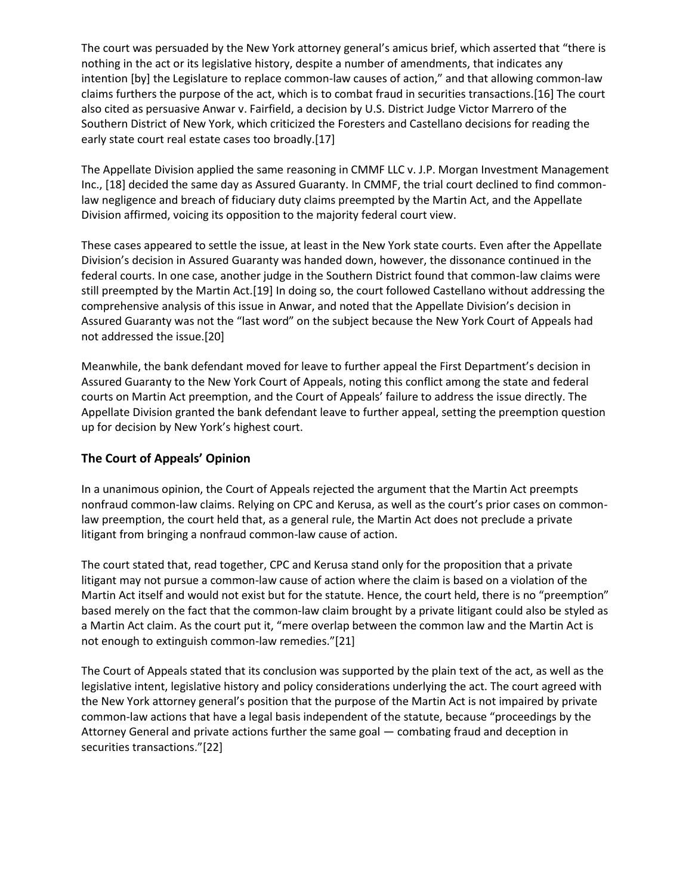The court was persuaded by the New York attorney general's amicus brief, which asserted that "there is nothing in the act or its legislative history, despite a number of amendments, that indicates any intention [by] the Legislature to replace common-law causes of action," and that allowing common-law claims furthers the purpose of the act, which is to combat fraud in securities transactions.[16] The court also cited as persuasive Anwar v. Fairfield, a decision by U.S. District Judge Victor Marrero of the Southern District of New York, which criticized the Foresters and Castellano decisions for reading the early state court real estate cases too broadly.[17]

The Appellate Division applied the same reasoning in CMMF LLC v. J.P. Morgan Investment Management Inc., [18] decided the same day as Assured Guaranty. In CMMF, the trial court declined to find commonlaw negligence and breach of fiduciary duty claims preempted by the Martin Act, and the Appellate Division affirmed, voicing its opposition to the majority federal court view.

These cases appeared to settle the issue, at least in the New York state courts. Even after the Appellate Division's decision in Assured Guaranty was handed down, however, the dissonance continued in the federal courts. In one case, another judge in the Southern District found that common-law claims were still preempted by the Martin Act.[19] In doing so, the court followed Castellano without addressing the comprehensive analysis of this issue in Anwar, and noted that the Appellate Division's decision in Assured Guaranty was not the "last word" on the subject because the New York Court of Appeals had not addressed the issue.[20]

Meanwhile, the bank defendant moved for leave to further appeal the First Department's decision in Assured Guaranty to the New York Court of Appeals, noting this conflict among the state and federal courts on Martin Act preemption, and the Court of Appeals' failure to address the issue directly. The Appellate Division granted the bank defendant leave to further appeal, setting the preemption question up for decision by New York's highest court.

## **The Court of Appeals' Opinion**

In a unanimous opinion, the Court of Appeals rejected the argument that the Martin Act preempts nonfraud common-law claims. Relying on CPC and Kerusa, as well as the court's prior cases on commonlaw preemption, the court held that, as a general rule, the Martin Act does not preclude a private litigant from bringing a nonfraud common-law cause of action.

The court stated that, read together, CPC and Kerusa stand only for the proposition that a private litigant may not pursue a common-law cause of action where the claim is based on a violation of the Martin Act itself and would not exist but for the statute. Hence, the court held, there is no "preemption" based merely on the fact that the common-law claim brought by a private litigant could also be styled as a Martin Act claim. As the court put it, "mere overlap between the common law and the Martin Act is not enough to extinguish common-law remedies."[21]

The Court of Appeals stated that its conclusion was supported by the plain text of the act, as well as the legislative intent, legislative history and policy considerations underlying the act. The court agreed with the New York attorney general's position that the purpose of the Martin Act is not impaired by private common-law actions that have a legal basis independent of the statute, because "proceedings by the Attorney General and private actions further the same goal — combating fraud and deception in securities transactions."[22]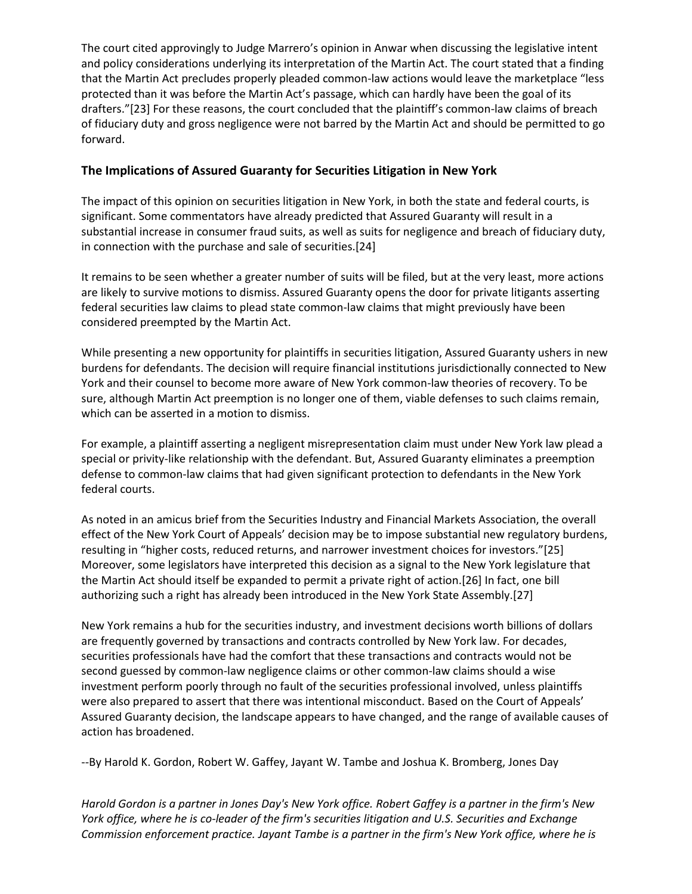The court cited approvingly to Judge Marrero's opinion in Anwar when discussing the legislative intent and policy considerations underlying its interpretation of the Martin Act. The court stated that a finding that the Martin Act precludes properly pleaded common-law actions would leave the marketplace "less protected than it was before the Martin Act's passage, which can hardly have been the goal of its drafters."[23] For these reasons, the court concluded that the plaintiff's common-law claims of breach of fiduciary duty and gross negligence were not barred by the Martin Act and should be permitted to go forward.

## **The Implications of Assured Guaranty for Securities Litigation in New York**

The impact of this opinion on securities litigation in New York, in both the state and federal courts, is significant. Some commentators have already predicted that Assured Guaranty will result in a substantial increase in consumer fraud suits, as well as suits for negligence and breach of fiduciary duty, in connection with the purchase and sale of securities.[24]

It remains to be seen whether a greater number of suits will be filed, but at the very least, more actions are likely to survive motions to dismiss. Assured Guaranty opens the door for private litigants asserting federal securities law claims to plead state common-law claims that might previously have been considered preempted by the Martin Act.

While presenting a new opportunity for plaintiffs in securities litigation, Assured Guaranty ushers in new burdens for defendants. The decision will require financial institutions jurisdictionally connected to New York and their counsel to become more aware of New York common-law theories of recovery. To be sure, although Martin Act preemption is no longer one of them, viable defenses to such claims remain, which can be asserted in a motion to dismiss.

For example, a plaintiff asserting a negligent misrepresentation claim must under New York law plead a special or privity-like relationship with the defendant. But, Assured Guaranty eliminates a preemption defense to common-law claims that had given significant protection to defendants in the New York federal courts.

As noted in an amicus brief from the Securities Industry and Financial Markets Association, the overall effect of the New York Court of Appeals' decision may be to impose substantial new regulatory burdens, resulting in "higher costs, reduced returns, and narrower investment choices for investors."[25] Moreover, some legislators have interpreted this decision as a signal to the New York legislature that the Martin Act should itself be expanded to permit a private right of action.[26] In fact, one bill authorizing such a right has already been introduced in the New York State Assembly.[27]

New York remains a hub for the securities industry, and investment decisions worth billions of dollars are frequently governed by transactions and contracts controlled by New York law. For decades, securities professionals have had the comfort that these transactions and contracts would not be second guessed by common-law negligence claims or other common-law claims should a wise investment perform poorly through no fault of the securities professional involved, unless plaintiffs were also prepared to assert that there was intentional misconduct. Based on the Court of Appeals' Assured Guaranty decision, the landscape appears to have changed, and the range of available causes of action has broadened.

--By Harold K. Gordon, Robert W. Gaffey, Jayant W. Tambe and Joshua K. Bromberg, Jones Day

*Harold Gordon is a partner in Jones Day's New York office. Robert Gaffey is a partner in the firm's New York office, where he is co-leader of the firm's securities litigation and U.S. Securities and Exchange Commission enforcement practice. Jayant Tambe is a partner in the firm's New York office, where he is*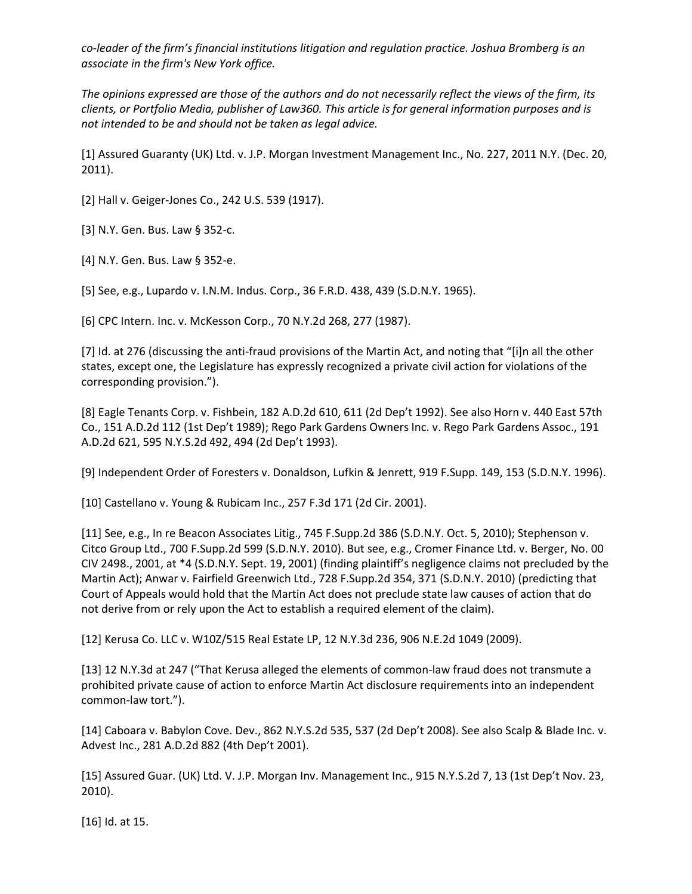*co-leader of the firm's financial institutions litigation and regulation practice. Joshua Bromberg is an associate in the firm's New York office.*

*The opinions expressed are those of the authors and do not necessarily reflect the views of the firm, its clients, or Portfolio Media, publisher of Law360. This article is for general information purposes and is not intended to be and should not be taken as legal advice.*

[1] Assured Guaranty (UK) Ltd. v. J.P. Morgan Investment Management Inc., No. 227, 2011 N.Y. (Dec. 20, 2011).

[2] Hall v. Geiger-Jones Co., 242 U.S. 539 (1917).

[3] N.Y. Gen. Bus. Law § 352-c.

[4] N.Y. Gen. Bus. Law § 352-e.

[5] See, e.g., Lupardo v. I.N.M. Indus. Corp., 36 F.R.D. 438, 439 (S.D.N.Y. 1965).

[6] CPC Intern. Inc. v. McKesson Corp., 70 N.Y.2d 268, 277 (1987).

[7] Id. at 276 (discussing the anti-fraud provisions of the Martin Act, and noting that "[i]n all the other states, except one, the Legislature has expressly recognized a private civil action for violations of the corresponding provision.").

[8] Eagle Tenants Corp. v. Fishbein, 182 A.D.2d 610, 611 (2d Dep't 1992). See also Horn v. 440 East 57th Co., 151 A.D.2d 112 (1st Dep't 1989); Rego Park Gardens Owners Inc. v. Rego Park Gardens Assoc., 191 A.D.2d 621, 595 N.Y.S.2d 492, 494 (2d Dep't 1993).

[9] Independent Order of Foresters v. Donaldson, Lufkin & Jenrett, 919 F.Supp. 149, 153 (S.D.N.Y. 1996).

[10] Castellano v. Young & Rubicam Inc., 257 F.3d 171 (2d Cir. 2001).

[11] See, e.g., In re Beacon Associates Litig., 745 F.Supp.2d 386 (S.D.N.Y. Oct. 5, 2010); Stephenson v. Citco Group Ltd., 700 F.Supp.2d 599 (S.D.N.Y. 2010). But see, e.g., Cromer Finance Ltd. v. Berger, No. 00 CIV 2498., 2001, at \*4 (S.D.N.Y. Sept. 19, 2001) (finding plaintiff's negligence claims not precluded by the Martin Act); Anwar v. Fairfield Greenwich Ltd., 728 F.Supp.2d 354, 371 (S.D.N.Y. 2010) (predicting that Court of Appeals would hold that the Martin Act does not preclude state law causes of action that do not derive from or rely upon the Act to establish a required element of the claim).

[12] Kerusa Co. LLC v. W10Z/515 Real Estate LP, 12 N.Y.3d 236, 906 N.E.2d 1049 (2009).

[13] 12 N.Y.3d at 247 ("That Kerusa alleged the elements of common-law fraud does not transmute a prohibited private cause of action to enforce Martin Act disclosure requirements into an independent common-law tort.").

[14] Caboara v. Babylon Cove. Dev., 862 N.Y.S.2d 535, 537 (2d Dep't 2008). See also Scalp & Blade Inc. v. Advest Inc., 281 A.D.2d 882 (4th Dep't 2001).

[15] Assured Guar. (UK) Ltd. V. J.P. Morgan Inv. Management Inc., 915 N.Y.S.2d 7, 13 (1st Dep't Nov. 23, 2010).

[16] Id. at 15.